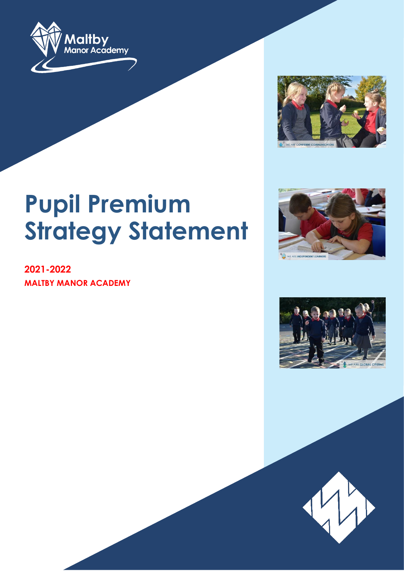



# **Pupil Premium Strategy Statement**

**2021-2022 MALTBY MANOR ACADEMY**





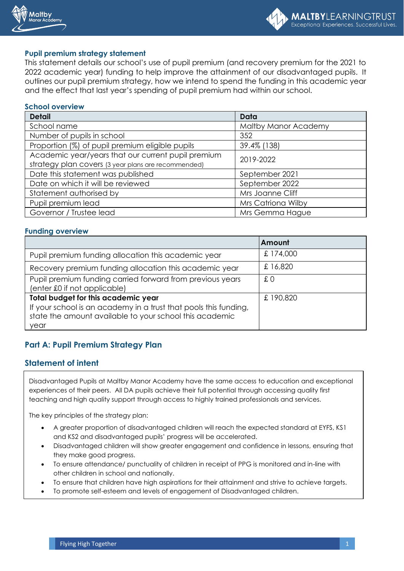



#### **Pupil premium strategy statement**

This statement details our school's use of pupil premium (and recovery premium for the 2021 to 2022 academic year) funding to help improve the attainment of our disadvantaged pupils. It outlines our pupil premium strategy, how we intend to spend the funding in this academic year and the effect that last year's spending of pupil premium had within our school.

#### **School overview**

| <b>Detail</b>                                       | Data                 |  |
|-----------------------------------------------------|----------------------|--|
| School name                                         | Maltby Manor Academy |  |
| Number of pupils in school                          | 352                  |  |
| Proportion (%) of pupil premium eligible pupils     | 39.4% (138)          |  |
| Academic year/years that our current pupil premium  | 2019-2022            |  |
| strategy plan covers (3 year plans are recommended) |                      |  |
| Date this statement was published                   | September 2021       |  |
| Date on which it will be reviewed                   | September 2022       |  |
| Statement authorised by                             | Mrs Joanne Cliff     |  |
| Pupil premium lead                                  | Mrs Catriona Wilby   |  |
| Governor / Trustee lead                             | Mrs Gemma Hague      |  |

#### **Funding overview**

|                                                                                                                                                                            | Amount    |
|----------------------------------------------------------------------------------------------------------------------------------------------------------------------------|-----------|
| Pupil premium funding allocation this academic year                                                                                                                        | £ 174,000 |
| Recovery premium funding allocation this academic year                                                                                                                     | £16,820   |
| Pupil premium funding carried forward from previous years<br>(enter £0 if not applicable)                                                                                  | £Ο        |
| Total budget for this academic year<br>If your school is an academy in a trust that pools this funding,<br>state the amount available to your school this academic<br>year | £190,820  |

### **Part A: Pupil Premium Strategy Plan**

#### **Statement of intent**

Disadvantaged Pupils at Maltby Manor Academy have the same access to education and exceptional experiences of their peers. All DA pupils achieve their full potential through accessing quality first teaching and high quality support through access to highly trained professionals and services.

The key principles of the strategy plan:

- A greater proportion of disadvantaged children will reach the expected standard at EYFS, KS1 and KS2 and disadvantaged pupils' progress will be accelerated.
- Disadvantaged children will show greater engagement and confidence in lessons, ensuring that they make good progress.
- To ensure attendance/ punctuality of children in receipt of PPG is monitored and in-line with other children in school and nationally.
- To ensure that children have high aspirations for their attainment and strive to achieve targets.
- To promote self-esteem and levels of engagement of Disadvantaged children.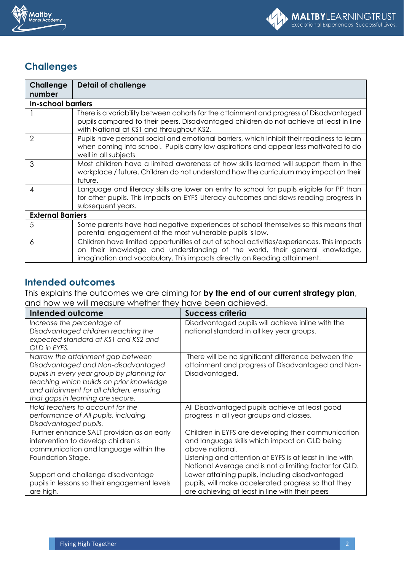



## **Challenges**

| <b>Challenge</b>         | <b>Detail of challenge</b>                                                                                                                                                                                                                           |  |  |
|--------------------------|------------------------------------------------------------------------------------------------------------------------------------------------------------------------------------------------------------------------------------------------------|--|--|
| number                   |                                                                                                                                                                                                                                                      |  |  |
|                          | <b>In-school barriers</b>                                                                                                                                                                                                                            |  |  |
|                          | There is a variability between cohorts for the attainment and progress of Disadvantaged<br>pupils compared to their peers. Disadvantaged children do not achieve at least in line<br>with National at KS1 and throughout KS2.                        |  |  |
| $\overline{2}$           | Pupils have personal social and emotional barriers, which inhibit their readiness to learn<br>when coming into school. Pupils carry low aspirations and appear less motivated to do<br>well in all subjects                                          |  |  |
| 3                        | Most children have a limited awareness of how skills learned will support them in the<br>workplace / future. Children do not understand how the curriculum may impact on their<br>future.                                                            |  |  |
| 4                        | Language and literacy skills are lower on entry to school for pupils eligible for PP than<br>for other pupils. This impacts on EYFS Literacy outcomes and slows reading progress in<br>subsequent years.                                             |  |  |
| <b>External Barriers</b> |                                                                                                                                                                                                                                                      |  |  |
| 5                        | Some parents have had negative experiences of school themselves so this means that<br>parental engagement of the most vulnerable pupils is low.                                                                                                      |  |  |
| 6                        | Children have limited opportunities of out of school activities/experiences. This impacts<br>on their knowledge and understanding of the world, their general knowledge,<br>imagination and vocabulary. This impacts directly on Reading attainment. |  |  |

## **Intended outcomes**

This explains the outcomes we are aiming for **by the end of our current strategy plan**, and how we will measure whether they have been achieved.

| Intended outcome                                                                                                                                                                                                                                     | <b>Success criteria</b>                                                                                                                                                                                                                       |
|------------------------------------------------------------------------------------------------------------------------------------------------------------------------------------------------------------------------------------------------------|-----------------------------------------------------------------------------------------------------------------------------------------------------------------------------------------------------------------------------------------------|
| Increase the percentage of<br>Disadvantaged children reaching the<br>expected standard at KS1 and KS2 and<br>GLD in EYFS.                                                                                                                            | Disadvantaged pupils will achieve inline with the<br>national standard in all key year groups.                                                                                                                                                |
| Narrow the attainment gap between<br>Disadvantaged and Non-disadvantaged<br>pupils in every year group by planning for<br>teaching which builds on prior knowledge<br>and attainment for all children, ensuring<br>that gaps in learning are secure. | There will be no significant difference between the<br>attainment and progress of Disadvantaged and Non-<br>Disadvantaged.                                                                                                                    |
| Hold teachers to account for the<br>performance of All pupils, including<br>Disadvantaged pupils.                                                                                                                                                    | All Disadvantaged pupils achieve at least good<br>progress in all year groups and classes.                                                                                                                                                    |
| Further enhance SALT provision as an early<br>intervention to develop children's<br>communication and language within the<br>Foundation Stage.                                                                                                       | Children in EYFS are developing their communication<br>and language skills which impact on GLD being<br>above national.<br>Listening and attention at EYFS is at least in line with<br>National Average and is not a limiting factor for GLD. |
| Support and challenge disadvantage<br>pupils in lessons so their engagement levels<br>are high.                                                                                                                                                      | Lower attaining pupils, including disadvantaged<br>pupils, will make accelerated progress so that they<br>are achieving at least in line with their peers                                                                                     |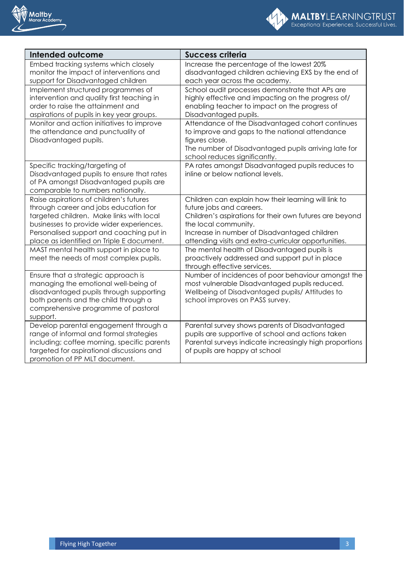



| <b>Intended outcome</b>                                                                                                                                                                                                                                           | <b>Success criteria</b>                                                                                                                                                                                                                                                     |
|-------------------------------------------------------------------------------------------------------------------------------------------------------------------------------------------------------------------------------------------------------------------|-----------------------------------------------------------------------------------------------------------------------------------------------------------------------------------------------------------------------------------------------------------------------------|
| Embed tracking systems which closely<br>monitor the impact of interventions and                                                                                                                                                                                   | Increase the percentage of the lowest 20%<br>disadvantaged children achieving EXS by the end of                                                                                                                                                                             |
| support for Disadvantaged children                                                                                                                                                                                                                                | each year across the academy.                                                                                                                                                                                                                                               |
| Implement structured programmes of<br>intervention and quality first teaching in<br>order to raise the attainment and<br>aspirations of pupils in key year groups.                                                                                                | School audit processes demonstrate that APs are<br>highly effective and impacting on the progress of/<br>enabling teacher to impact on the progress of<br>Disadvantaged pupils.                                                                                             |
| Monitor and action initiatives to improve<br>the attendance and punctuality of<br>Disadvantaged pupils.                                                                                                                                                           | Attendance of the Disadvantaged cohort continues<br>to improve and gaps to the national attendance<br>figures close.<br>The number of Disadvantaged pupils arriving late for<br>school reduces significantly.                                                               |
| Specific tracking/targeting of<br>Disadvantaged pupils to ensure that rates<br>of PA amongst Disadvantaged pupils are<br>comparable to numbers nationally.                                                                                                        | PA rates amongst Disadvantaged pupils reduces to<br>inline or below national levels.                                                                                                                                                                                        |
| Raise aspirations of children's futures<br>through career and jobs education for<br>targeted children. Make links with local<br>businesses to provide wider experiences.<br>Personalised support and coaching put in<br>place as identified on Triple E document. | Children can explain how their learning will link to<br>future jobs and careers.<br>Children's aspirations for their own futures are beyond<br>the local community.<br>Increase in number of Disadvantaged children<br>attending visits and extra-curricular opportunities. |
| MAST mental health support in place to<br>meet the needs of most complex pupils.                                                                                                                                                                                  | The mental health of Disadvantaged pupils is<br>proactively addressed and support put in place<br>through effective services.                                                                                                                                               |
| Ensure that a strategic approach is<br>managing the emotional well-being of<br>disadvantaged pupils through supporting<br>both parents and the child through a<br>comprehensive programme of pastoral<br>support.                                                 | Number of incidences of poor behaviour amongst the<br>most vulnerable Disadvantaged pupils reduced.<br>Wellbeing of Disadvantaged pupils/ Attitudes to<br>school improves on PASS survey.                                                                                   |
| Develop parental engagement through a<br>range of informal and formal strategies<br>including; coffee morning, specific parents<br>targeted for aspirational discussions and<br>promotion of PP MLT document.                                                     | Parental survey shows parents of Disadvantaged<br>pupils are supportive of school and actions taken<br>Parental surveys indicate increasingly high proportions<br>of pupils are happy at school                                                                             |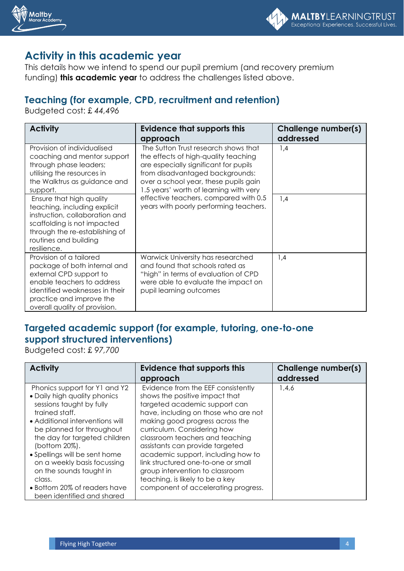



## **Activity in this academic year**

This details how we intend to spend our pupil premium (and recovery premium funding) **this academic year** to address the challenges listed above.

## **Teaching (for example, CPD, recruitment and retention)**

Budgeted cost: £ *44,496*

| <b>Activity</b>                                                                                                                                                                                                                                                                                                                                                       | <b>Evidence that supports this</b><br>approach                                                                                                                                                                                                                                                                                 | <b>Challenge number(s)</b><br>addressed |
|-----------------------------------------------------------------------------------------------------------------------------------------------------------------------------------------------------------------------------------------------------------------------------------------------------------------------------------------------------------------------|--------------------------------------------------------------------------------------------------------------------------------------------------------------------------------------------------------------------------------------------------------------------------------------------------------------------------------|-----------------------------------------|
| Provision of individualised<br>coaching and mentor support<br>through phase leaders;<br>utilising the resources in<br>the Walktrus as guidance and<br>support.<br>Ensure that high quality<br>teaching, including explicit<br>instruction, collaboration and<br>scaffolding is not impacted<br>through the re-establishing of<br>routines and building<br>resilience. | The Sutton Trust research shows that<br>the effects of high-quality teaching<br>are especially significant for pupils<br>from disadvantaged backgrounds:<br>over a school year, these pupils gain<br>1.5 years' worth of learning with very<br>effective teachers, compared with 0.5<br>years with poorly performing teachers. | 1,4<br>1,4                              |
| Provision of a tailored<br>package of both internal and<br>external CPD support to<br>enable teachers to address<br>identified weaknesses in their<br>practice and improve the<br>overall quality of provision.                                                                                                                                                       | Warwick University has researched<br>and found that schools rated as<br>"high" in terms of evaluation of CPD<br>were able to evaluate the impact on<br>pupil learning outcomes                                                                                                                                                 | 1,4                                     |

## **Targeted academic support (for example, tutoring, one-to-one support structured interventions)**

Budgeted cost: £ *97,700*

| <b>Activity</b>                                                                                                                                                                                                                                                                                                                                                                                  | <b>Evidence that supports this</b><br>approach                                                                                                                                                                                                                                                                                                                                                                                                                                  | Challenge number(s)<br>addressed |
|--------------------------------------------------------------------------------------------------------------------------------------------------------------------------------------------------------------------------------------------------------------------------------------------------------------------------------------------------------------------------------------------------|---------------------------------------------------------------------------------------------------------------------------------------------------------------------------------------------------------------------------------------------------------------------------------------------------------------------------------------------------------------------------------------------------------------------------------------------------------------------------------|----------------------------------|
| Phonics support for Y1 and Y2<br>• Daily high quality phonics<br>sessions taught by fully<br>trained staff.<br>• Additional interventions will<br>be planned for throughout<br>the day for targeted children<br>(bottom 20%).<br>• Spellings will be sent home<br>on a weekly basis focussing<br>on the sounds taught in<br>class.<br>• Bottom 20% of readers have<br>been identified and shared | Evidence from the EEF consistently<br>shows the positive impact that<br>targeted academic support can<br>have, including on those who are not<br>making good progress across the<br>curriculum. Considering how<br>classroom teachers and teaching<br>assistants can provide targeted<br>academic support, including how to<br>link structured one-to-one or small<br>group intervention to classroom<br>teaching, is likely to be a key<br>component of accelerating progress. | 1,4,6                            |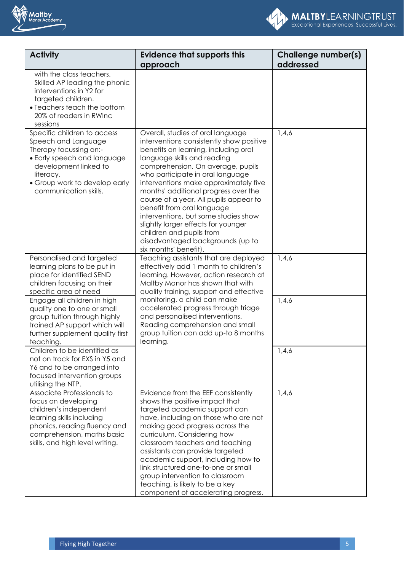



| <b>Activity</b>                                                                                                                                                                                             | <b>Evidence that supports this</b><br>approach                                                                                                                                                                                                                                                                                                                                                                                                                                                                                                                 | <b>Challenge number(s)</b><br>addressed |
|-------------------------------------------------------------------------------------------------------------------------------------------------------------------------------------------------------------|----------------------------------------------------------------------------------------------------------------------------------------------------------------------------------------------------------------------------------------------------------------------------------------------------------------------------------------------------------------------------------------------------------------------------------------------------------------------------------------------------------------------------------------------------------------|-----------------------------------------|
| with the class teachers.<br>Skilled AP leading the phonic<br>interventions in Y2 for<br>targeted children.<br>• Teachers teach the bottom<br>20% of readers in RWInc<br>sessions                            |                                                                                                                                                                                                                                                                                                                                                                                                                                                                                                                                                                |                                         |
| Specific children to access<br>Speech and Language<br>Therapy focussing on:-<br>• Early speech and language<br>development linked to<br>literacy.<br>• Group work to develop early<br>communication skills. | Overall, studies of oral language<br>interventions consistently show positive<br>benefits on learning, including oral<br>language skills and reading<br>comprehension. On average, pupils<br>who participate in oral language<br>interventions make approximately five<br>months' additional progress over the<br>course of a year. All pupils appear to<br>benefit from oral language<br>interventions, but some studies show<br>slightly larger effects for younger<br>children and pupils from<br>disadvantaged backgrounds (up to<br>six months' benefit). | 1,4,6                                   |
| Personalised and targeted<br>learning plans to be put in<br>place for identified SEND<br>children focusing on their<br>specific area of need                                                                | Teaching assistants that are deployed<br>effectively add 1 month to children's<br>learning. However, action research at<br>Maltby Manor has shown that with<br>quality training, support and effective                                                                                                                                                                                                                                                                                                                                                         | 1,4,6                                   |
| Engage all children in high<br>quality one to one or small<br>group tuition through highly<br>trained AP support which will<br>further supplement quality first<br>teaching.                                | monitoring, a child can make<br>accelerated progress through triage<br>and personalised interventions.<br>Reading comprehension and small<br>group tuition can add up-to 8 months<br>learning.                                                                                                                                                                                                                                                                                                                                                                 | 1,4,6                                   |
| Children to be identified as<br>not on track for EXS in Y5 and<br>Y6 and to be arranged into<br>focused intervention groups<br>utilising the NTP.                                                           |                                                                                                                                                                                                                                                                                                                                                                                                                                                                                                                                                                | 1,4,6                                   |
| Associate Professionals to<br>focus on developing<br>children's independent<br>learning skills including<br>phonics, reading fluency and<br>comprehension, maths basic<br>skills, and high level writing.   | Evidence from the EEF consistently<br>shows the positive impact that<br>targeted academic support can<br>have, including on those who are not<br>making good progress across the<br>curriculum. Considering how<br>classroom teachers and teaching<br>assistants can provide targeted<br>academic support, including how to<br>link structured one-to-one or small<br>group intervention to classroom<br>teaching, is likely to be a key<br>component of accelerating progress.                                                                                | 1,4,6                                   |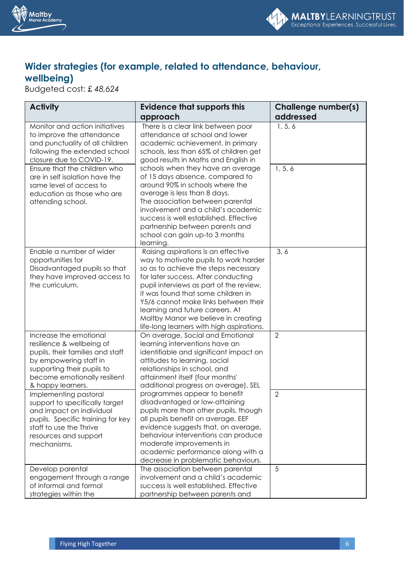



## **Wider strategies (for example, related to attendance, behaviour, wellbeing)**

Budgeted cost: £ *48,624*

| <b>Activity</b>                                                                                                                                                                                                                                                                                                                                             | Evidence that supports this<br>approach                                                                                                                                                                                                                                                                                                                                                                                                                                                                                                     | <b>Challenge number(s)</b><br>addressed |
|-------------------------------------------------------------------------------------------------------------------------------------------------------------------------------------------------------------------------------------------------------------------------------------------------------------------------------------------------------------|---------------------------------------------------------------------------------------------------------------------------------------------------------------------------------------------------------------------------------------------------------------------------------------------------------------------------------------------------------------------------------------------------------------------------------------------------------------------------------------------------------------------------------------------|-----------------------------------------|
| Monitor and action initiatives<br>to improve the attendance<br>and punctuality of all children<br>following the extended school<br>closure due to COVID-19.<br>Ensure that the children who<br>are in self isolation have the<br>same level of access to<br>education as those who are<br>attending school.                                                 | There is a clear link between poor<br>attendance at school and lower<br>academic achievement. In primary<br>schools, less than 65% of children get<br>good results in Maths and English in<br>schools when they have an average<br>of 15 days absence, compared to<br>around 90% in schools where the<br>average is less than 8 days.<br>The association between parental<br>involvement and a child's academic<br>success is well established. Effective<br>partnership between parents and<br>school can gain up-to 3 months<br>learning. | 1, 5, 6<br>1, 5, 6                      |
| Enable a number of wider<br>opportunities for<br>Disadvantaged pupils so that<br>they have improved access to<br>the curriculum.                                                                                                                                                                                                                            | Raising aspirations is an effective<br>way to motivate pupils to work harder<br>so as to achieve the steps necessary<br>for later success. After conducting<br>pupil interviews as part of the review,<br>it was found that some children in<br>Y5/6 cannot make links between their<br>learning and future careers. At<br>Maltby Manor we believe in creating<br>life-long learners with high aspirations.                                                                                                                                 | 3, 6                                    |
| Increase the emotional<br>resilience & wellbeing of<br>pupils, their families and staff<br>by empowering staff in<br>supporting their pupils to<br>become emotionally resilient<br>& happy learners.<br>Implementing pastoral<br>support to specifically target<br>and impact on individual<br>pupils. Specific training for key<br>staff to use the Thrive | On average, Social and Emotional<br>learning interventions have an<br>identifiable and significant impact on<br>attitudes to learning, social<br>relationships in school, and<br>attainment itself (four months'<br>additional progress on average). SEL<br>programmes appear to benefit<br>disadvantaged or low-attaining<br>pupils more than other pupils, though<br>all pupils benefit on average. EEF<br>evidence suggests that, on average,                                                                                            | $\overline{2}$<br>$\overline{2}$        |
| resources and support<br>mechanisms.<br>Develop parental<br>engagement through a range<br>of informal and formal<br>strategies within the                                                                                                                                                                                                                   | behaviour interventions can produce<br>moderate improvements in<br>academic performance along with a<br>decrease in problematic behaviours.<br>The association between parental<br>involvement and a child's academic<br>success is well established. Effective<br>partnership between parents and                                                                                                                                                                                                                                          | 5                                       |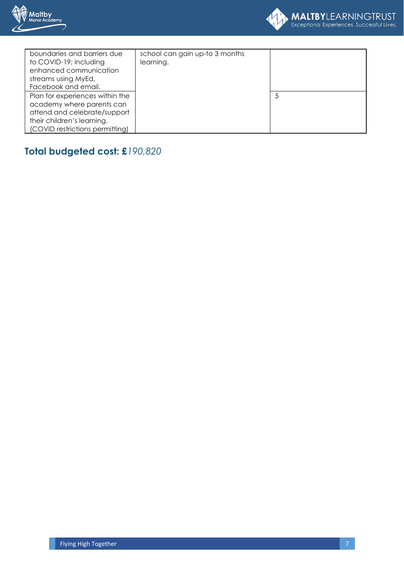



| boundaries and barriers due     | school can gain up-to 3 months |   |
|---------------------------------|--------------------------------|---|
| to COVID-19; including          | learning.                      |   |
| enhanced communication          |                                |   |
| streams using MyEd,             |                                |   |
| Facebook and email.             |                                |   |
| Plan for experiences within the |                                | 5 |
| academy where parents can       |                                |   |
| attend and celebrate/support    |                                |   |
| their children's learning.      |                                |   |
| (COVID restrictions permitting) |                                |   |
|                                 |                                |   |

# **Total budgeted cost: £***190,820*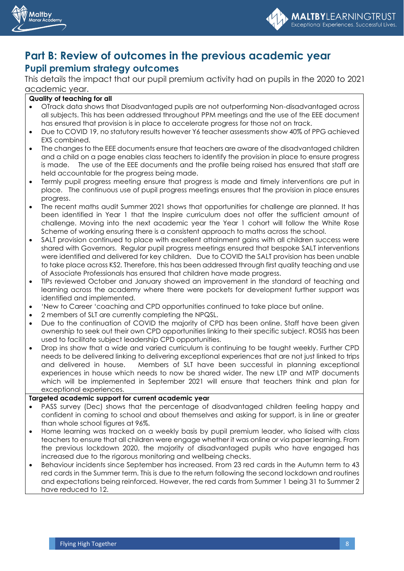



## **Part B: Review of outcomes in the previous academic year Pupil premium strategy outcomes**

This details the impact that our pupil premium activity had on pupils in the 2020 to 2021 academic year.

#### **Quality of teaching for all**

- OTrack data shows that Disadvantaged pupils are not outperforming Non-disadvantaged across all subjects. This has been addressed throughout PPM meetings and the use of the EEE document has ensured that provision is in place to accelerate progress for those not on track.
- Due to COVID 19, no statutory results however Y6 teacher assessments show 40% of PPG achieved EXS combined.
- The changes to the EEE documents ensure that teachers are aware of the disadvantaged children and a child on a page enables class teachers to identify the provision in place to ensure progress is made. The use of the EEE documents and the profile being raised has ensured that staff are held accountable for the progress being made.
- Termly pupil progress meeting ensure that progress is made and timely interventions are put in place. The continuous use of pupil progress meetings ensures that the provision in place ensures progress.
- The recent maths audit Summer 2021 shows that opportunities for challenge are planned. It has been identified in Year 1 that the Inspire curriculum does not offer the sufficient amount of challenge. Moving into the next academic year the Year 1 cohort will follow the White Rose Scheme of working ensuring there is a consistent approach to maths across the school.
- SALT provision continued to place with excellent attainment gains with all children success were shared with Governors. Regular pupil progress meetings ensured that bespoke SALT interventions were identified and delivered for key children. Due to COVID the SALT provision has been unable to take place across KS2. Therefore, this has been addressed through first quality teaching and use of Associate Professionals has ensured that children have made progress.
- TIPs reviewed October and January showed an improvement in the standard of teaching and learning across the academy where there were pockets for development further support was identified and implemented.
- 'New to Career 'coaching and CPD opportunities continued to take place but online.
- 2 members of SLT are currently completing the NPQSL.
- Due to the continuation of COVID the majority of CPD has been online. Staff have been given ownership to seek out their own CPD opportunities linking to their specific subject. ROSIS has been used to facilitate subject leadership CPD opportunities.
- Drop ins show that a wide and varied curriculum is continuing to be taught weekly. Further CPD needs to be delivered linking to delivering exceptional experiences that are not just linked to trips and delivered in house. Members of SLT have been successful in planning exceptional experiences in house which needs to now be shared wider. The new LTP and MTP documents which will be implemented in September 2021 will ensure that teachers think and plan for exceptional experiences.

#### **Targeted academic support for current academic year**

- PASS survey (Dec) shows that the percentage of disadvantaged children feeling happy and confident in coming to school and about themselves and asking for support, is in line or greater than whole school figures at 96%.
- Home learning was tracked on a weekly basis by pupil premium leader, who liaised with class teachers to ensure that all children were engage whether it was online or via paper learning. From the previous lockdown 2020, the majority of disadvantaged pupils who have engaged has increased due to the rigorous monitoring and wellbeing checks.
- Behaviour incidents since September has increased. From 23 red cards in the Autumn term to 43 red cards in the Summer term. This is due to the return following the second lockdown and routines and expectations being reinforced. However, the red cards from Summer 1 being 31 to Summer 2 have reduced to 12.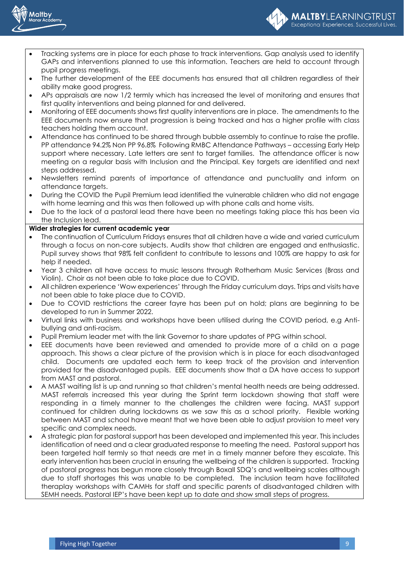



- Tracking systems are in place for each phase to track interventions. Gap analysis used to identify GAPs and interventions planned to use this information. Teachers are held to account through pupil progress meetings.
- The further development of the EEE documents has ensured that all children regardless of their ability make good progress.
- APs appraisals are now 1/2 termly which has increased the level of monitoring and ensures that first quality interventions and being planned for and delivered.
- Monitoring of EEE documents shows first quality interventions are in place. The amendments to the EEE documents now ensure that progression is being tracked and has a higher profile with class teachers holding them account.
- Attendance has continued to be shared through bubble assembly to continue to raise the profile. PP attendance 94.2% Non PP 96.8% Following RMBC Attendance Pathways – accessing Early Help support where necessary. Late letters are sent to target families. The attendance officer is now meeting on a regular basis with Inclusion and the Principal. Key targets are identified and next steps addressed.
- Newsletters remind parents of importance of attendance and punctuality and inform on attendance targets.
- During the COVID the Pupil Premium lead identified the vulnerable children who did not engage with home learning and this was then followed up with phone calls and home visits.
- Due to the lack of a pastoral lead there have been no meetings taking place this has been via the Inclusion lead.

#### **Wider strategies for current academic year**

- The continuation of Curriculum Fridays ensures that all children have a wide and varied curriculum through a focus on non-core subjects. Audits show that children are engaged and enthusiastic. Pupil survey shows that 98% felt confident to contribute to lessons and 100% are happy to ask for help if needed.
- Year 3 children all have access to music lessons through Rotherham Music Services (Brass and Violin). Choir as not been able to take place due to COVID.
- All children experience 'Wow experiences' through the Friday curriculum days. Trips and visits have not been able to take place due to COVID.
- Due to COVID restrictions the career fayre has been put on hold; plans are beginning to be developed to run in Summer 2022.
- Virtual links with business and workshops have been utilised during the COVID period, e.g Antibullying and anti-racism.
- Pupil Premium leader met with the link Governor to share updates of PPG within school.
- EEE documents have been reviewed and amended to provide more of a child on a page approach. This shows a clear picture of the provision which is in place for each disadvantaged child. Documents are updated each term to keep track of the provision and intervention provided for the disadvantaged pupils. EEE documents show that a DA have access to support from MAST and pastoral.
- A MAST waiting list is up and running so that children's mental health needs are being addressed. MAST referrals increased this year during the Sprint term lockdown showing that staff were responding in a timely manner to the challenges the children were facing. MAST support continued for children during lockdowns as we saw this as a school priority. Flexible working between MAST and school have meant that we have been able to adjust provision to meet very specific and complex needs.
- A strategic plan for pastoral support has been developed and implemented this year. This includes identification of need and a clear graduated response to meeting the need. Pastoral support has been targeted half termly so that needs are met in a timely manner before they escalate. This early intervention has been crucial in ensuring the wellbeing of the children is supported. Tracking of pastoral progress has begun more closely through Boxall SDQ's and wellbeing scales although due to staff shortages this was unable to be completed. The inclusion team have facilitated theraplay workshops with CAMHs for staff and specific parents of disadvantaged children with SEMH needs. Pastoral IEP's have been kept up to date and show small steps of progress.